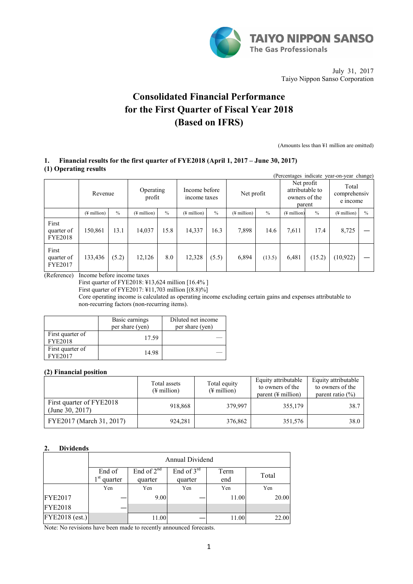

July 31, 2017 Taiyo Nippon Sanso Corporation

# **Consolidated Financial Performance for the First Quarter of Fiscal Year 2018 (Based on IFRS)**

(Amounts less than ¥1 million are omitted)

## **1. Financial results for the first quarter of FYE2018 (April 1, 2017 – June 30, 2017) (1) Operating results**

|                                       | (Percentages indicate year-on-year change) |               |                          |               |                               |               |                         |               |                                                |               |                                   |               |
|---------------------------------------|--------------------------------------------|---------------|--------------------------|---------------|-------------------------------|---------------|-------------------------|---------------|------------------------------------------------|---------------|-----------------------------------|---------------|
|                                       | Revenue                                    |               | Operating<br>profit      |               | Income before<br>income taxes |               | Net profit              |               | Net profit<br>attributable to<br>owners of the | parent        | Total<br>comprehensiv<br>e income |               |
|                                       | $(\frac{1}{2})$ million                    | $\frac{0}{0}$ | $(\frac{1}{2})$ million) | $\frac{0}{0}$ | (¥ million)                   | $\frac{0}{0}$ | $(\frac{1}{2}$ million) | $\frac{0}{0}$ | $($ <del>¥</del> million $)$                   | $\frac{0}{0}$ | $(\frac{1}{2}$ million)           | $\frac{0}{0}$ |
| First<br>quarter of<br><b>FYE2018</b> | 150,861                                    | 13.1          | 14,037                   | 15.8          | 14,337                        | 16.3          | 7,898                   | 14.6          | 7.611                                          | 17.4          | 8,725                             |               |
| First<br>quarter of<br><b>FYE2017</b> | 133,436                                    | (5.2)         | 12,126                   | 8.0           | 12,328                        | (5.5)         | 6,894                   | (13.5)        | 6,481                                          | (15.2)        | (10, 922)                         |               |

(Reference) Income before income taxes

First quarter of FYE2018: ¥13,624 million [16.4% ]

First quarter of FYE2017: ¥11,703 million [(8.8)%]

Core operating income is calculated as operating income excluding certain gains and expenses attributable to non-recurring factors (non-recurring items).

|                                    | Basic earnings<br>per share (yen) | Diluted net income<br>per share (yen) |
|------------------------------------|-----------------------------------|---------------------------------------|
| First quarter of<br><b>FYE2018</b> | 17.59                             |                                       |
| First quarter of<br>FYE2017        | 14.98                             |                                       |

## **(2) Financial position**

|                                             | Total assets<br>$(\frac{1}{2})$ million | Total equity<br>$(\frac{1}{2}$ million) | Equity attributable<br>to owners of the<br>parent $(\frac{1}{2})$ million) | Equity attributable<br>to owners of the<br>parent ratio $(\% )$ |
|---------------------------------------------|-----------------------------------------|-----------------------------------------|----------------------------------------------------------------------------|-----------------------------------------------------------------|
| First quarter of FYE2018<br>(June 30, 2017) | 918,868                                 | 379.997                                 | 355,179                                                                    | 38.7                                                            |
| FYE2017 (March 31, 2017)                    | 924,281                                 | 376,862                                 | 351,576                                                                    | 38.0                                                            |

## **2. Dividends**

|                | Annual Dividend                      |                            |                         |             |       |  |  |  |
|----------------|--------------------------------------|----------------------------|-------------------------|-------------|-------|--|--|--|
|                | End of<br>1 <sup>st</sup><br>quarter | End of $2^{nd}$<br>quarter | End of $3rd$<br>quarter | Term<br>end | Total |  |  |  |
|                | Yen                                  | Yen                        | Yen                     | Yen         | Yen   |  |  |  |
| <b>FYE2017</b> |                                      | 9.00                       |                         | 11.00       | 20.00 |  |  |  |
| <b>FYE2018</b> |                                      |                            |                         |             |       |  |  |  |
| FYE2018 (est.) |                                      | 11.00                      |                         | 11.00       | 22.00 |  |  |  |

Note: No revisions have been made to recently announced forecasts.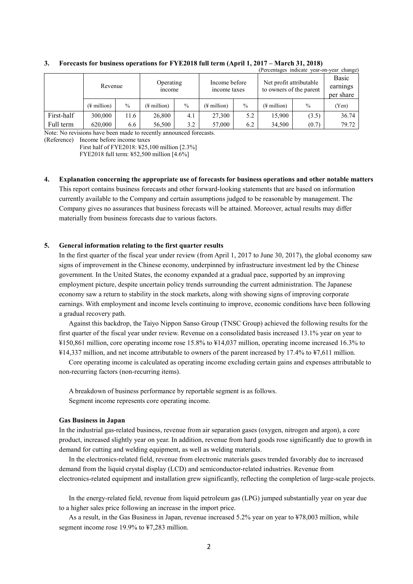|            | (Percentages indicate year-on-year change) |               |                         |               |                               |               |                                                    |               |                                |
|------------|--------------------------------------------|---------------|-------------------------|---------------|-------------------------------|---------------|----------------------------------------------------|---------------|--------------------------------|
|            | Revenue                                    |               | Operating<br>income     |               | Income before<br>income taxes |               | Net profit attributable<br>to owners of the parent |               | Basic<br>earnings<br>per share |
|            | $(\frac{1}{2})$ million                    | $\frac{0}{0}$ | $(\frac{1}{2})$ million | $\frac{0}{0}$ | $(\frac{1}{2})$ million       | $\frac{0}{0}$ | $(\frac{1}{2})$ million                            | $\frac{0}{0}$ | (Yen)                          |
| First-half | 300,000                                    | 11.6          | 26,800                  | 4.1           | 27,300                        | 5.2           | 15,900                                             | (3.5)         | 36.74                          |
| Full term  | 620,000                                    | 6.6           | 56,500                  | 3.2           | 57,000                        | 6.2           | 34,500                                             | (0.7)         | 79.72                          |

#### **3. Forecasts for business operations for FYE2018 full term (April 1, 2017 – March 31, 2018)**

Note: No revisions have been made to recently announced forecasts.

(Reference) Income before income taxes

First half of FYE2018: ¥25,100 million [2.3%]

FYE2018 full term: ¥52,500 million [4.6%]

**4. Explanation concerning the appropriate use of forecasts for business operations and other notable matters** This report contains business forecasts and other forward-looking statements that are based on information currently available to the Company and certain assumptions judged to be reasonable by management. The Company gives no assurances that business forecasts will be attained. Moreover, actual results may differ materially from business forecasts due to various factors.

## **5. General information relating to the first quarter results**

In the first quarter of the fiscal year under review (from April 1, 2017 to June 30, 2017), the global economy saw signs of improvement in the Chinese economy, underpinned by infrastructure investment led by the Chinese government. In the United States, the economy expanded at a gradual pace, supported by an improving employment picture, despite uncertain policy trends surrounding the current administration. The Japanese economy saw a return to stability in the stock markets, along with showing signs of improving corporate earnings. With employment and income levels continuing to improve, economic conditions have been following a gradual recovery path.

Against this backdrop, the Taiyo Nippon Sanso Group (TNSC Group) achieved the following results for the first quarter of the fiscal year under review. Revenue on a consolidated basis increased 13.1% year on year to ¥150,861 million, core operating income rose 15.8% to ¥14,037 million, operating income increased 16.3% to ¥14,337 million, and net income attributable to owners of the parent increased by 17.4% to ¥7,611 million.

Core operating income is calculated as operating income excluding certain gains and expenses attributable to non-recurring factors (non-recurring items).

A breakdown of business performance by reportable segment is as follows. Segment income represents core operating income.

## **Gas Business in Japan**

In the industrial gas-related business, revenue from air separation gases (oxygen, nitrogen and argon), a core product, increased slightly year on year. In addition, revenue from hard goods rose significantly due to growth in demand for cutting and welding equipment, as well as welding materials.

In the electronics-related field, revenue from electronic materials gases trended favorably due to increased demand from the liquid crystal display (LCD) and semiconductor-related industries. Revenue from electronics-related equipment and installation grew significantly, reflecting the completion of large-scale projects.

In the energy-related field, revenue from liquid petroleum gas (LPG) jumped substantially year on year due to a higher sales price following an increase in the import price.

As a result, in the Gas Business in Japan, revenue increased 5.2% year on year to ¥78,003 million, while segment income rose 19.9% to ¥7,283 million.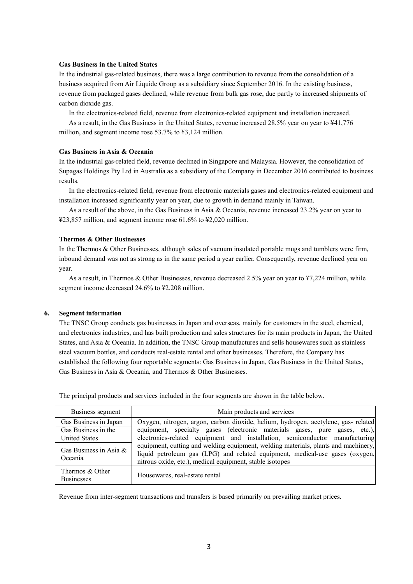#### **Gas Business in the United States**

In the industrial gas-related business, there was a large contribution to revenue from the consolidation of a business acquired from Air Liquide Group as a subsidiary since September 2016. In the existing business, revenue from packaged gases declined, while revenue from bulk gas rose, due partly to increased shipments of carbon dioxide gas.

In the electronics-related field, revenue from electronics-related equipment and installation increased.

As a result, in the Gas Business in the United States, revenue increased 28.5% year on year to ¥41,776 million, and segment income rose 53.7% to ¥3,124 million.

#### **Gas Business in Asia & Oceania**

In the industrial gas-related field, revenue declined in Singapore and Malaysia. However, the consolidation of Supagas Holdings Pty Ltd in Australia as a subsidiary of the Company in December 2016 contributed to business results.

In the electronics-related field, revenue from electronic materials gases and electronics-related equipment and installation increased significantly year on year, due to growth in demand mainly in Taiwan.

As a result of the above, in the Gas Business in Asia & Oceania, revenue increased 23.2% year on year to ¥23,857 million, and segment income rose 61.6% to ¥2,020 million.

#### **Thermos & Other Businesses**

In the Thermos & Other Businesses, although sales of vacuum insulated portable mugs and tumblers were firm, inbound demand was not as strong as in the same period a year earlier. Consequently, revenue declined year on year.

As a result, in Thermos & Other Businesses, revenue decreased 2.5% year on year to ¥7,224 million, while segment income decreased 24.6% to ¥2,208 million.

#### **6. Segment information**

The TNSC Group conducts gas businesses in Japan and overseas, mainly for customers in the steel, chemical, and electronics industries, and has built production and sales structures for its main products in Japan, the United States, and Asia & Oceania. In addition, the TNSC Group manufactures and sells housewares such as stainless steel vacuum bottles, and conducts real-estate rental and other businesses. Therefore, the Company has established the following four reportable segments: Gas Business in Japan, Gas Business in the United States, Gas Business in Asia & Oceania, and Thermos & Other Businesses.

| Business segment                     | Main products and services                                                                                                                                                                                                     |
|--------------------------------------|--------------------------------------------------------------------------------------------------------------------------------------------------------------------------------------------------------------------------------|
| Gas Business in Japan                | Oxygen, nitrogen, argon, carbon dioxide, helium, hydrogen, acetylene, gas- related                                                                                                                                             |
| Gas Business in the                  | equipment, specialty gases (electronic materials gases, pure gases, etc.),                                                                                                                                                     |
| <b>United States</b>                 | electronics-related equipment and installation, semiconductor manufacturing                                                                                                                                                    |
| Gas Business in Asia &<br>Oceania    | equipment, cutting and welding equipment, welding materials, plants and machinery,<br>liquid petroleum gas (LPG) and related equipment, medical-use gases (oxygen,<br>nitrous oxide, etc.), medical equipment, stable isotopes |
| Thermos & Other<br><b>Businesses</b> | Housewares, real-estate rental                                                                                                                                                                                                 |

The principal products and services included in the four segments are shown in the table below.

Revenue from inter-segment transactions and transfers is based primarily on prevailing market prices.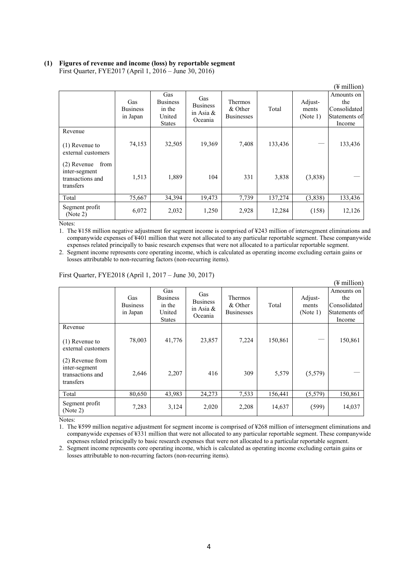# **(1) Figures of revenue and income (loss) by reportable segment**

First Quarter, FYE2017 (April 1, 2016 – June 30, 2016)

|                                                                         |                                    |                                                             |                                                   |                                                |         |                              | (¥ million)                                                  |
|-------------------------------------------------------------------------|------------------------------------|-------------------------------------------------------------|---------------------------------------------------|------------------------------------------------|---------|------------------------------|--------------------------------------------------------------|
|                                                                         | Gas<br><b>Business</b><br>in Japan | Gas<br><b>Business</b><br>in the<br>United<br><b>States</b> | Gas<br><b>Business</b><br>in Asia $\&$<br>Oceania | <b>Thermos</b><br>& Other<br><b>Businesses</b> | Total   | Adjust-<br>ments<br>(Note 1) | Amounts on<br>the<br>Consolidated<br>Statements of<br>Income |
| Revenue                                                                 |                                    |                                                             |                                                   |                                                |         |                              |                                                              |
| $(1)$ Revenue to<br>external customers                                  | 74,153                             | 32,505                                                      | 19,369                                            | 7,408                                          | 133,436 |                              | 133,436                                                      |
| from<br>$(2)$ Revenue<br>inter-segment<br>transactions and<br>transfers | 1,513                              | 1,889                                                       | 104                                               | 331                                            | 3,838   | (3,838)                      |                                                              |
| Total                                                                   | 75,667                             | 34,394                                                      | 19,473                                            | 7,739                                          | 137,274 | (3,838)                      | 133,436                                                      |
| Segment profit<br>(Note 2)                                              | 6,072                              | 2,032                                                       | 1,250                                             | 2,928                                          | 12,284  | (158)                        | 12,126                                                       |

Notes:

1. The ¥158 million negative adjustment for segment income is comprised of ¥243 million of intersegment eliminations and companywide expenses of ¥401 million that were not allocated to any particular reportable segment. These companywide expenses related principally to basic research expenses that were not allocated to a particular reportable segment.

2. Segment income represents core operating income, which is calculated as operating income excluding certain gains or losses attributable to non-recurring factors (non-recurring items).

|                                                                    |                                    |                                                             |                                                   |                                         |         |                              | (¥ million)                                                  |
|--------------------------------------------------------------------|------------------------------------|-------------------------------------------------------------|---------------------------------------------------|-----------------------------------------|---------|------------------------------|--------------------------------------------------------------|
|                                                                    | Gas<br><b>Business</b><br>in Japan | Gas<br><b>Business</b><br>in the<br>United<br><b>States</b> | Gas<br><b>Business</b><br>in Asia $\&$<br>Oceania | Thermos<br>& Other<br><b>Businesses</b> | Total   | Adjust-<br>ments<br>(Note 1) | Amounts on<br>the<br>Consolidated<br>Statements of<br>Income |
| Revenue<br>$(1)$ Revenue to<br>external customers                  | 78,003                             | 41,776                                                      | 23,857                                            | 7,224                                   | 150,861 |                              | 150,861                                                      |
| (2) Revenue from<br>inter-segment<br>transactions and<br>transfers | 2,646                              | 2,207                                                       | 416                                               | 309                                     | 5,579   | (5,579)                      |                                                              |
| Total                                                              | 80,650                             | 43,983                                                      | 24,273                                            | 7,533                                   | 156,441 | (5, 579)                     | 150,861                                                      |
| Segment profit<br>(Note 2)                                         | 7,283                              | 3,124                                                       | 2,020                                             | 2,208                                   | 14,637  | (599)                        | 14,037                                                       |

#### First Quarter, FYE2018 (April 1, 2017 – June 30, 2017)

Notes:

1. The ¥599 million negative adjustment for segment income is comprised of ¥268 million of intersegment eliminations and companywide expenses of ¥331 million that were not allocated to any particular reportable segment. These companywide expenses related principally to basic research expenses that were not allocated to a particular reportable segment.

2. Segment income represents core operating income, which is calculated as operating income excluding certain gains or losses attributable to non-recurring factors (non-recurring items).